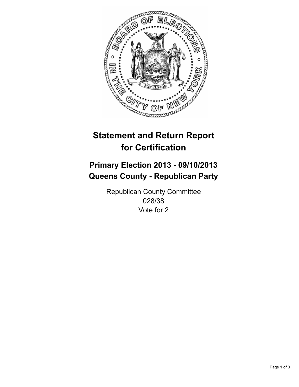

# **Statement and Return Report for Certification**

# **Primary Election 2013 - 09/10/2013 Queens County - Republican Party**

Republican County Committee 028/38 Vote for 2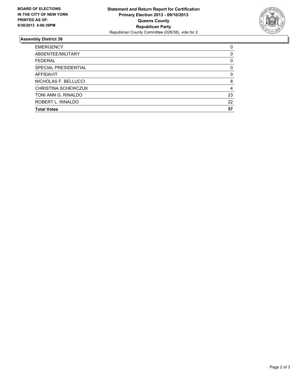

## **Assembly District 38**

| <b>EMERGENCY</b>           | 0        |
|----------------------------|----------|
| ABSENTEE/MILITARY          | 0        |
| <b>FEDERAL</b>             | 0        |
| SPECIAL PRESIDENTIAL       | 0        |
| <b>AFFIDAVIT</b>           | $\Omega$ |
| NICHOLAS F. BELLUCCI       | 8        |
| <b>CHRISTINA SCHEWCZUK</b> | 4        |
| TONI ANN G. RINALDO        | 23       |
| ROBERT L. RINALDO          | 22       |
| <b>Total Votes</b>         | 57       |